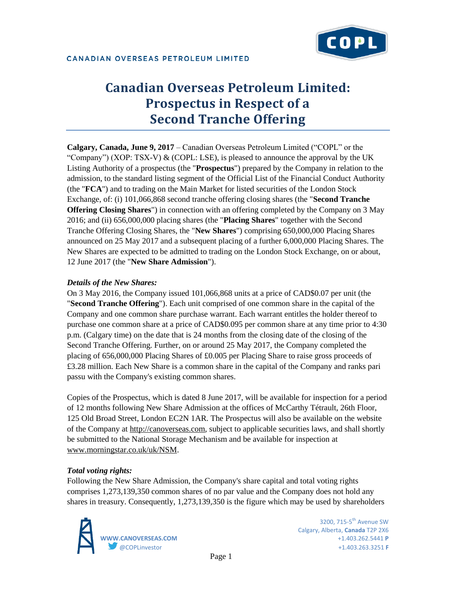

# **Canadian Overseas Petroleum Limited: Prospectus in Respect of a Second Tranche Offering**

**Calgary, Canada, June 9, 2017** – Canadian Overseas Petroleum Limited ("COPL" or the "Company") (XOP: TSX-V)  $\&$  (COPL: LSE), is pleased to announce the approval by the UK Listing Authority of a prospectus (the "**Prospectus**") prepared by the Company in relation to the admission, to the standard listing segment of the Official List of the Financial Conduct Authority (the "**FCA**") and to trading on the Main Market for listed securities of the London Stock Exchange, of: (i) 101,066,868 second tranche offering closing shares (the "**Second Tranche Offering Closing Shares**") in connection with an offering completed by the Company on 3 May 2016; and (ii) 656,000,000 placing shares (the "**Placing Shares**" together with the Second Tranche Offering Closing Shares, the "**New Shares**") comprising 650,000,000 Placing Shares announced on 25 May 2017 and a subsequent placing of a further 6,000,000 Placing Shares. The New Shares are expected to be admitted to trading on the London Stock Exchange, on or about, 12 June 2017 (the "**New Share Admission**").

## *Details of the New Shares:*

On 3 May 2016, the Company issued 101,066,868 units at a price of CAD\$0.07 per unit (the "**Second Tranche Offering**"). Each unit comprised of one common share in the capital of the Company and one common share purchase warrant. Each warrant entitles the holder thereof to purchase one common share at a price of CAD\$0.095 per common share at any time prior to 4:30 p.m. (Calgary time) on the date that is 24 months from the closing date of the closing of the Second Tranche Offering. Further, on or around 25 May 2017, the Company completed the placing of 656,000,000 Placing Shares of £0.005 per Placing Share to raise gross proceeds of £3.28 million. Each New Share is a common share in the capital of the Company and ranks pari passu with the Company's existing common shares.

Copies of the Prospectus, which is dated 8 June 2017, will be available for inspection for a period of 12 months following New Share Admission at the offices of McCarthy Tétrault, 26th Floor, 125 Old Broad Street, London EC2N 1AR. The Prospectus will also be available on the website of the Company at [http://canoverseas.com,](http://canoverseas.com/) subject to applicable securities laws, and shall shortly be submitted to the National Storage Mechanism and be available for inspection at [www.morningstar.co.uk/uk/NSM.](http://www.morningstar.co.uk/uk/NSM)

## *Total voting rights:*

Following the New Share Admission, the Company's share capital and total voting rights comprises 1,273,139,350 common shares of no par value and the Company does not hold any shares in treasury. Consequently, 1,273,139,350 is the figure which may be used by shareholders



3200.  $715-5$ <sup>th</sup> Avenue SW Calgary, Alberta, **Canada** T2P 2X6 **WWW.CANOVERSEAS.COM** +1.403.262.5441 **P** @COPLinvestor +1.403.263.3251 **F**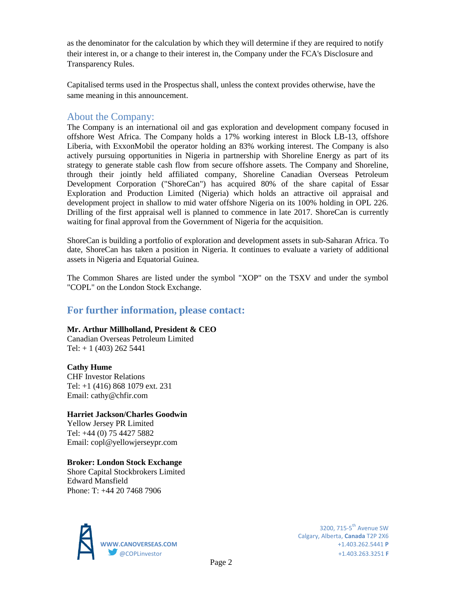as the denominator for the calculation by which they will determine if they are required to notify their interest in, or a change to their interest in, the Company under the FCA's Disclosure and Transparency Rules.

Capitalised terms used in the Prospectus shall, unless the context provides otherwise, have the same meaning in this announcement.

## About the Company:

The Company is an international oil and gas exploration and development company focused in offshore West Africa. The Company holds a 17% working interest in Block LB-13, offshore Liberia, with ExxonMobil the operator holding an 83% working interest. The Company is also actively pursuing opportunities in Nigeria in partnership with Shoreline Energy as part of its strategy to generate stable cash flow from secure offshore assets. The Company and Shoreline, through their jointly held affiliated company, Shoreline Canadian Overseas Petroleum Development Corporation ("ShoreCan") has acquired 80% of the share capital of Essar Exploration and Production Limited (Nigeria) which holds an attractive oil appraisal and development project in shallow to mid water offshore Nigeria on its 100% holding in OPL 226. Drilling of the first appraisal well is planned to commence in late 2017. ShoreCan is currently waiting for final approval from the Government of Nigeria for the acquisition.

ShoreCan is building a portfolio of exploration and development assets in sub-Saharan Africa. To date, ShoreCan has taken a position in Nigeria. It continues to evaluate a variety of additional assets in Nigeria and Equatorial Guinea.

The Common Shares are listed under the symbol "XOP" on the TSXV and under the symbol "COPL" on the London Stock Exchange.

## **For further information, please contact:**

## **Mr. Arthur Millholland, President & CEO**

Canadian Overseas Petroleum Limited Tel:  $+ 1 (403) 262 5441$ 

## **Cathy Hume**

CHF Investor Relations Tel: +1 (416) 868 1079 ext. 231 Email: cathy@chfir.com

## **Harriet Jackson/Charles Goodwin**

Yellow Jersey PR Limited Tel: +44 (0) 75 4427 5882 Email: copl@yellowjerseypr.com

## **Broker: London Stock Exchange**

Shore Capital Stockbrokers Limited Edward Mansfield Phone: T: +44 20 7468 7906



Calgary, Alberta, **Canada** T2P 2X6 **WWW.CANOVERSEAS.COM** +1.403.262.5441 **P** @COPLinvestor +1.403.263.3251 **F**